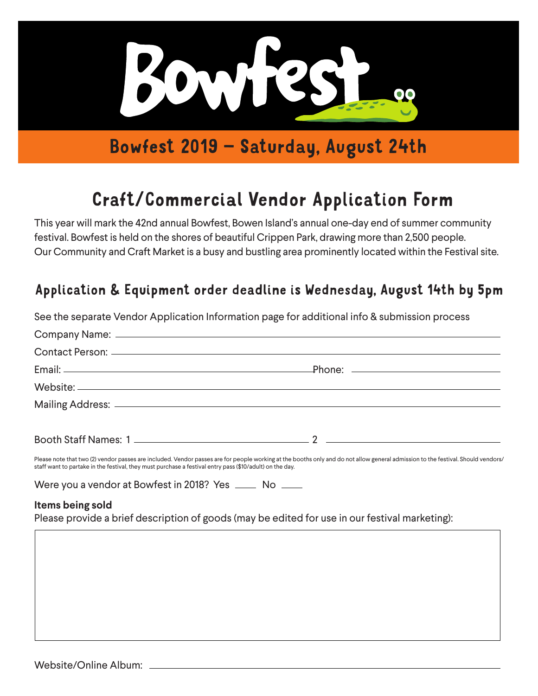

## Bowfest 2019 – Saturday, August 24th

# Craft/Commercial Vendor Application Form

This year will mark the 42nd annual Bowfest, Bowen Island's annual one-day end of summer community festival. Bowfest is held on the shores of beautiful Crippen Park, drawing more than 2,500 people. Our Community and Craft Market is a busy and bustling area prominently located within the Festival site.

### Application & Equipment order deadline is Wednesday, August 14th by 5pm

|                                                                                                          | See the separate Vendor Application Information page for additional info & submission process                                                                                    |
|----------------------------------------------------------------------------------------------------------|----------------------------------------------------------------------------------------------------------------------------------------------------------------------------------|
|                                                                                                          |                                                                                                                                                                                  |
|                                                                                                          |                                                                                                                                                                                  |
|                                                                                                          |                                                                                                                                                                                  |
|                                                                                                          |                                                                                                                                                                                  |
|                                                                                                          |                                                                                                                                                                                  |
|                                                                                                          |                                                                                                                                                                                  |
| staff want to partake in the festival, they must purchase a festival entry pass (\$10/adult) on the day. | Please note that two (2) vendor passes are included. Vendor passes are for people working at the booths only and do not allow general admission to the festival. Should vendors/ |
| Were you a vendor at Bowfest in 2018? Yes ______ No _____                                                |                                                                                                                                                                                  |
| Items being sold                                                                                         |                                                                                                                                                                                  |
|                                                                                                          | Please provide a brief description of goods (may be edited for use in our festival marketing):                                                                                   |
|                                                                                                          |                                                                                                                                                                                  |
|                                                                                                          |                                                                                                                                                                                  |